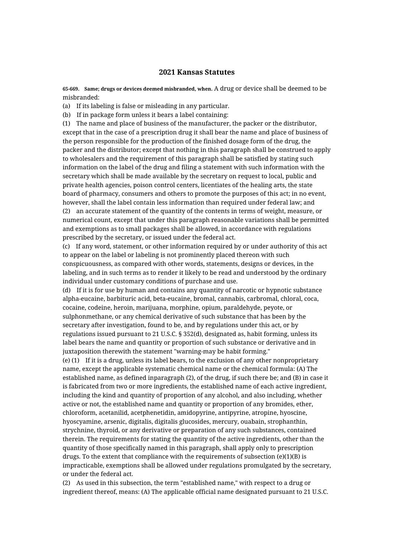## **2021 Kansas Statutes**

**65-669. Same; drugs or devices deemed misbranded, when.** A drug or device shall be deemed to be misbranded:

(a) If its labeling is false or misleading in any particular.

(b) If in package form unless it bears a label containing:

(1) The name and place of business of the manufacturer, the packer or the distributor, except that in the case of a prescription drug it shall bear the name and place of business of the person responsible for the production of the finished dosage form of the drug, the packer and the distributor; except that nothing in this paragraph shall be construed to apply to wholesalers and the requirement of this paragraph shall be satisfied by stating such information on the label of the drug and filing a statement with such information with the secretary which shall be made available by the secretary on request to local, public and private health agencies, poison control centers, licentiates of the healing arts, the state board of pharmacy, consumers and others to promote the purposes of this act; in no event, however, shall the label contain less information than required under federal law; and (2) an accurate statement of the quantity of the contents in terms of weight, measure, or numerical count, except that under this paragraph reasonable variations shall be permitted and exemptions as to small packages shall be allowed, in accordance with regulations prescribed by the secretary, or issued under the federal act.

(c) If any word, statement, or other information required by or under authority of this act to appear on the label or labeling is not prominently placed thereon with such conspicuousness, as compared with other words, statements, designs or devices, in the labeling, and in such terms as to render it likely to be read and understood by the ordinary individual under customary conditions of purchase and use.

(d) If it is for use by human and contains any quantity of narcotic or hypnotic substance alpha-eucaine, barbituric acid, beta-eucaine, bromal, cannabis, carbromal, chloral, coca, cocaine, codeine, heroin, marijuana, morphine, opium, paraldehyde, peyote, or sulphonmethane, or any chemical derivative of such substance that has been by the secretary after investigation, found to be, and by regulations under this act, or by regulations issued pursuant to 21 U.S.C. § 352(d), designated as, habit forming, unless its label bears the name and quantity or proportion of such substance or derivative and in juxtaposition therewith the statement "warning-may be habit forming."

(e) (1) If it is a drug, unless its label bears, to the exclusion of any other nonproprietary name, except the applicable systematic chemical name or the chemical formula: (A) The established name, as defined inparagraph (2), of the drug, if such there be; and (B) in case it is fabricated from two or more ingredients, the established name of each active ingredient, including the kind and quantity of proportion of any alcohol, and also including, whether active or not, the established name and quantity or proportion of any bromides, ether, chloroform, acetanilid, acetphenetidin, amidopyrine, antipyrine, atropine, hyoscine, hyoscyamine, arsenic, digitalis, digitalis glucosides, mercury, ouabain, strophanthin, strychnine, thyroid, or any derivative or preparation of any such substances, contained therein. The requirements for stating the quantity of the active ingredients, other than the quantity of those specifically named in this paragraph, shall apply only to prescription drugs. To the extent that compliance with the requirements of subsection  $(e)(1)(B)$  is impracticable, exemptions shall be allowed under regulations promulgated by the secretary, or under the federal act.

(2) As used in this subsection, the term "established name," with respect to a drug or ingredient thereof, means: (A) The applicable official name designated pursuant to 21 U.S.C.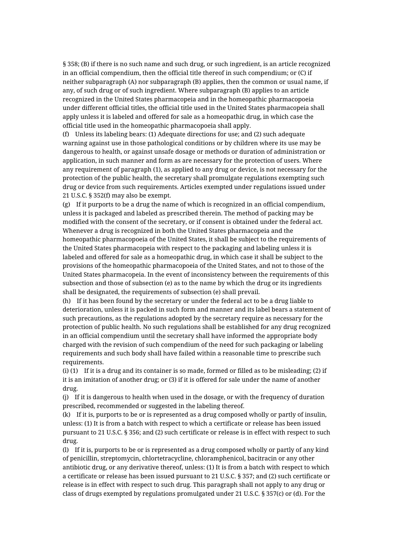§ 358; (B) if there is no such name and such drug, or such ingredient, is an article recognized in an official compendium, then the official title thereof in such compendium; or (C) if neither subparagraph (A) nor subparagraph (B) applies, then the common or usual name, if any, of such drug or of such ingredient. Where subparagraph (B) applies to an article recognized in the United States pharmacopeia and in the homeopathic pharmacopoeia under different official titles, the official title used in the United States pharmacopeia shall apply unless it is labeled and offered for sale as a homeopathic drug, in which case the official title used in the homeopathic pharmacopoeia shall apply.

(f) Unless its labeling bears: (1) Adequate directions for use; and (2) such adequate warning against use in those pathological conditions or by children where its use may be dangerous to health, or against unsafe dosage or methods or duration of administration or application, in such manner and form as are necessary for the protection of users. Where any requirement of paragraph (1), as applied to any drug or device, is not necessary for the protection of the public health, the secretary shall promulgate regulations exempting such drug or device from such requirements. Articles exempted under regulations issued under 21 U.S.C. § 352(f) may also be exempt.

(g) If it purports to be a drug the name of which is recognized in an official compendium, unless it is packaged and labeled as prescribed therein. The method of packing may be modified with the consent of the secretary, or if consent is obtained under the federal act. Whenever a drug is recognized in both the United States pharmacopeia and the homeopathic pharmacopoeia of the United States, it shall be subject to the requirements of the United States pharmacopeia with respect to the packaging and labeling unless it is labeled and offered for sale as a homeopathic drug, in which case it shall be subject to the provisions of the homeopathic pharmacopoeia of the United States, and not to those of the United States pharmacopeia. In the event of inconsistency between the requirements of this subsection and those of subsection (e) as to the name by which the drug or its ingredients shall be designated, the requirements of subsection (e) shall prevail.

(h) If it has been found by the secretary or under the federal act to be a drug liable to deterioration, unless it is packed in such form and manner and its label bears a statement of such precautions, as the regulations adopted by the secretary require as necessary for the protection of public health. No such regulations shall be established for any drug recognized in an official compendium until the secretary shall have informed the appropriate body charged with the revision of such compendium of the need for such packaging or labeling requirements and such body shall have failed within a reasonable time to prescribe such requirements.

(i) (1) If it is a drug and its container is so made, formed or filled as to be misleading; (2) if it is an imitation of another drug; or (3) if it is offered for sale under the name of another drug.

(j) If it is dangerous to health when used in the dosage, or with the frequency of duration prescribed, recommended or suggested in the labeling thereof.

(k) If it is, purports to be or is represented as a drug composed wholly or partly of insulin, unless: (1) It is from a batch with respect to which a certificate or release has been issued pursuant to 21 U.S.C. § 356; and (2) such certificate or release is in effect with respect to such drug.

(l) If it is, purports to be or is represented as a drug composed wholly or partly of any kind of penicillin, streptomycin, chlortetracycline, chloramphenicol, bacitracin or any other antibiotic drug, or any derivative thereof, unless: (1) It is from a batch with respect to which a certificate or release has been issued pursuant to 21 U.S.C. § 357; and (2) such certificate or release is in effect with respect to such drug. This paragraph shall not apply to any drug or class of drugs exempted by regulations promulgated under 21 U.S.C. § 357(c) or (d). For the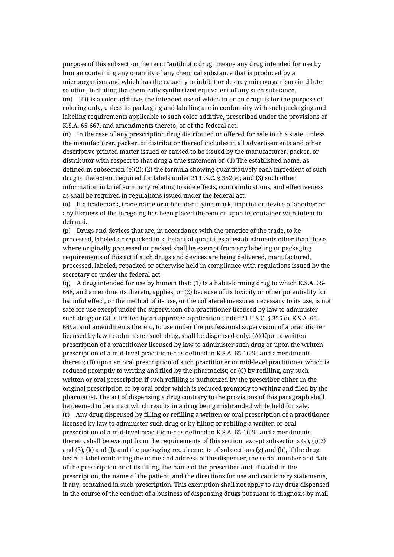purpose of this subsection the term "antibiotic drug" means any drug intended for use by human containing any quantity of any chemical substance that is produced by a microorganism and which has the capacity to inhibit or destroy microorganisms in dilute solution, including the chemically synthesized equivalent of any such substance. (m) If it is a color additive, the intended use of which in or on drugs is for the purpose of coloring only, unless its packaging and labeling are in conformity with such packaging and labeling requirements applicable to such color additive, prescribed under the provisions of K.S.A. 65-667, and amendments thereto, or of the federal act.

(n) In the case of any prescription drug distributed or offered for sale in this state, unless the manufacturer, packer, or distributor thereof includes in all advertisements and other descriptive printed matter issued or caused to be issued by the manufacturer, packer, or distributor with respect to that drug a true statement of: (1) The established name, as defined in subsection (e)(2); (2) the formula showing quantitatively each ingredient of such drug to the extent required for labels under 21 U.S.C. § 352(e); and (3) such other information in brief summary relating to side effects, contraindications, and effectiveness as shall be required in regulations issued under the federal act.

(o) If a trademark, trade name or other identifying mark, imprint or device of another or any likeness of the foregoing has been placed thereon or upon its container with intent to defraud.

(p) Drugs and devices that are, in accordance with the practice of the trade, to be processed, labeled or repacked in substantial quantities at establishments other than those where originally processed or packed shall be exempt from any labeling or packaging requirements of this act if such drugs and devices are being delivered, manufactured, processed, labeled, repacked or otherwise held in compliance with regulations issued by the secretary or under the federal act.

(q) A drug intended for use by human that: (1) Is a habit-forming drug to which K.S.A. 65- 668, and amendments thereto, applies; or (2) because of its toxicity or other potentiality for harmful effect, or the method of its use, or the collateral measures necessary to its use, is not safe for use except under the supervision of a practitioner licensed by law to administer such drug; or (3) is limited by an approved application under 21 U.S.C. § 355 or K.S.A. 65- 669a, and amendments thereto, to use under the professional supervision of a practitioner licensed by law to administer such drug, shall be dispensed only: (A) Upon a written prescription of a practitioner licensed by law to administer such drug or upon the written prescription of a mid-level practitioner as defined in K.S.A. 65-1626, and amendments thereto; (B) upon an oral prescription of such practitioner or mid-level practitioner which is reduced promptly to writing and filed by the pharmacist; or (C) by refilling, any such written or oral prescription if such refilling is authorized by the prescriber either in the original prescription or by oral order which is reduced promptly to writing and filed by the pharmacist. The act of dispensing a drug contrary to the provisions of this paragraph shall be deemed to be an act which results in a drug being misbranded while held for sale.

(r) Any drug dispensed by filling or refilling a written or oral prescription of a practitioner licensed by law to administer such drug or by filling or refilling a written or oral prescription of a mid-level practitioner as defined in K.S.A. 65-1626, and amendments thereto, shall be exempt from the requirements of this section, except subsections (a), (i)(2) and  $(3)$ ,  $(k)$  and  $(l)$ , and the packaging requirements of subsections  $(g)$  and  $(h)$ , if the drug bears a label containing the name and address of the dispenser, the serial number and date of the prescription or of its filling, the name of the prescriber and, if stated in the prescription, the name of the patient, and the directions for use and cautionary statements, if any, contained in such prescription. This exemption shall not apply to any drug dispensed in the course of the conduct of a business of dispensing drugs pursuant to diagnosis by mail,